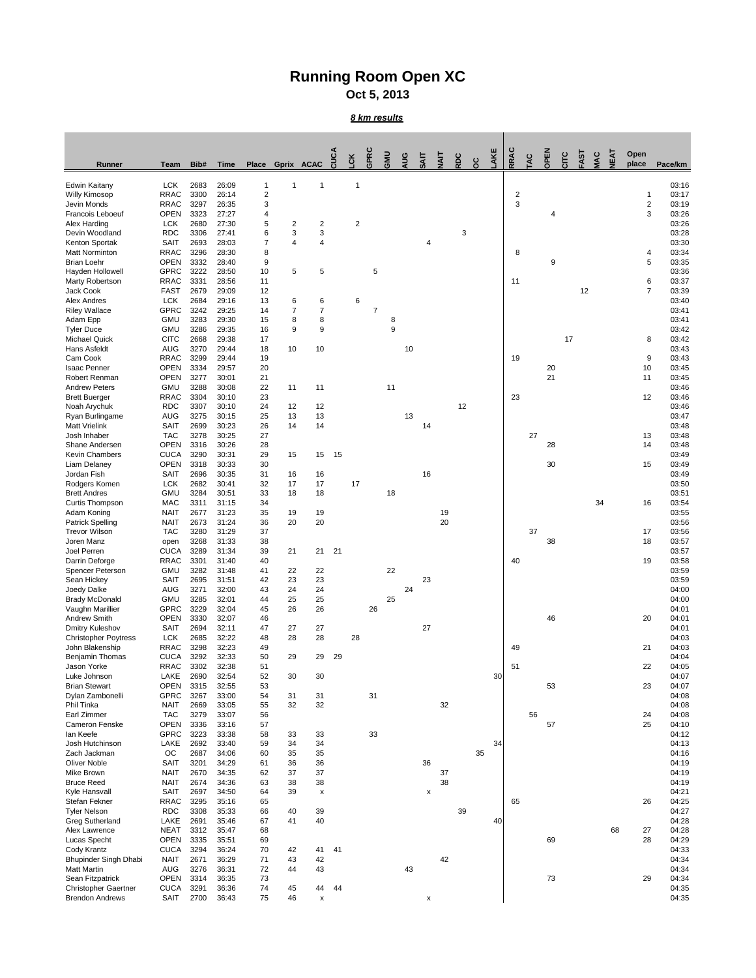## **Running Room Open XC**

**Oct 5, 2013**

## *8 km results*

| Runner                                                | <b>Team</b>                | Bib#         | <b>Time</b>    | <b>Place</b>        |                   | Gprix ACAC          | CUCA | <b>CK</b>      | GPRC       | <b>UMP</b> | AUG | $\overline{A}$ | <b>IIY</b> | RDC | <u>ပ</u> ိ | AKE | RRAC           | TAC | OPEN | CITC | FAST | <b>JAC</b> | <b>NEAT</b> | Open<br>place  | Pace/km        |
|-------------------------------------------------------|----------------------------|--------------|----------------|---------------------|-------------------|---------------------|------|----------------|------------|------------|-----|----------------|------------|-----|------------|-----|----------------|-----|------|------|------|------------|-------------|----------------|----------------|
|                                                       |                            |              |                |                     |                   |                     |      |                |            |            |     |                |            |     |            |     |                |     |      |      |      |            |             |                |                |
| <b>Edwin Kaitany</b><br><b>Willy Kimosop</b>          | <b>LCK</b><br><b>RRAC</b>  | 2683<br>3300 | 26:09<br>26:14 | 1<br>$\overline{c}$ | 1                 | -1                  |      | -1             |            |            |     |                |            |     |            |     | $\overline{c}$ |     |      |      |      |            |             | 1              | 03:16<br>03:17 |
| Jevin Monds                                           | <b>RRAC</b>                | 3297         | 26:35          | 3                   |                   |                     |      |                |            |            |     |                |            |     |            |     | 3              |     |      |      |      |            |             | $\overline{2}$ | 03:19          |
| Francois Leboeuf                                      | <b>OPEN</b>                | 3323         | 27:27          | 4                   |                   |                     |      |                |            |            |     |                |            |     |            |     |                |     |      |      |      |            |             | $\mathbf{3}$   | 03:26          |
| Alex Harding<br>Devin Woodland                        | <b>LCK</b><br><b>RDC</b>   | 2680<br>3306 | 27:30<br>27:41 | 5<br>6              | 2<br>$\mathbf{3}$ | $\overline{c}$<br>3 |      | $\overline{c}$ |            |            |     |                |            | 3   |            |     |                |     |      |      |      |            |             |                | 03:26<br>03:28 |
| Kenton Sportak                                        | <b>SAIT</b>                | 2693         | 28:03          | $\overline{7}$      | 4                 | $\overline{4}$      |      |                |            |            |     | 4              |            |     |            |     |                |     |      |      |      |            |             |                | 03:30          |
| <b>Matt Norminton</b>                                 | <b>RRAC</b>                | 3296         | 28:30          | 8                   |                   |                     |      |                |            |            |     |                |            |     |            |     | 8              |     |      |      |      |            |             | 4              | 03:34          |
| <b>Brian Loehr</b><br>Hayden Hollowell                | <b>OPEN</b><br><b>GPRC</b> | 3332<br>3222 | 28:40<br>28:50 | 9<br>10             | 5                 | 5                   |      |                | $\sqrt{5}$ |            |     |                |            |     |            |     |                |     | 9    |      |      |            |             | 5              | 03:35<br>03:36 |
| Marty Robertson                                       | <b>RRAC</b>                | 3331         | 28:56          | 11                  |                   |                     |      |                |            |            |     |                |            |     |            |     | 11             |     |      |      |      |            |             | 6              | 03:37          |
| Jack Cook                                             | <b>FAST</b>                | 2679         | 29:09          | 12                  |                   |                     |      |                |            |            |     |                |            |     |            |     |                |     |      |      | 12   |            |             | $\overline{7}$ | 03:39          |
| <b>Alex Andres</b><br><b>Riley Wallace</b>            | <b>LCK</b><br><b>GPRC</b>  | 2684<br>3242 | 29:16<br>29:25 | 13<br>14            | 6                 | 6<br>$\overline{7}$ |      | 6              | 7          |            |     |                |            |     |            |     |                |     |      |      |      |            |             |                | 03:40<br>03:41 |
| Adam Epp                                              | <b>GMU</b>                 | 3283         | 29:30          | 15                  | 8                 | 8                   |      |                |            | 8          |     |                |            |     |            |     |                |     |      |      |      |            |             |                | 03:41          |
| <b>Tyler Duce</b>                                     | <b>GMU</b>                 | 3286         | 29:35          | 16                  | 9                 | 9                   |      |                |            | 9          |     |                |            |     |            |     |                |     |      |      |      |            |             |                | 03:42          |
| <b>Michael Quick</b><br>Hans Asfeldt                  | <b>CITC</b><br><b>AUG</b>  | 2668<br>3270 | 29:38<br>29:44 | 17<br>18            | 10                | 10                  |      |                |            |            | 10  |                |            |     |            |     |                |     |      | 17   |      |            |             | 8              | 03:42<br>03:43 |
| Cam Cook                                              | <b>RRAC</b>                | 3299         | 29:44          | 19                  |                   |                     |      |                |            |            |     |                |            |     |            |     | 19             |     |      |      |      |            |             | 9              | 03:43          |
| <b>Isaac Penner</b>                                   | <b>OPEN</b>                | 3334         | 29:57          | 20                  |                   |                     |      |                |            |            |     |                |            |     |            |     |                |     | 20   |      |      |            |             | 10             | 03:45          |
| Robert Renman<br><b>Andrew Peters</b>                 | <b>OPEN</b><br><b>GMU</b>  | 3277<br>3288 | 30:01<br>30:08 | 21<br>22            | 11                | 11                  |      |                |            | 11         |     |                |            |     |            |     |                |     | 21   |      |      |            |             | 11             | 03:45<br>03:46 |
| <b>Brett Buerger</b>                                  | <b>RRAC</b>                | 3304         | 30:10          | 23                  |                   |                     |      |                |            |            |     |                |            |     |            |     | 23             |     |      |      |      |            |             | 12             | 03:46          |
| Noah Arychuk                                          | <b>RDC</b>                 | 3307         | 30:10          | 24                  | 12                | 12                  |      |                |            |            |     |                |            | 12  |            |     |                |     |      |      |      |            |             |                | 03:46          |
| Ryan Burlingame                                       | <b>AUG</b>                 | 3275         | 30:15          | 25                  | 13                | 13                  |      |                |            |            | 13  |                |            |     |            |     |                |     |      |      |      |            |             |                | 03:47          |
| <b>Matt Vrielink</b><br>Josh Inhaber                  | <b>SAIT</b><br><b>TAC</b>  | 2699<br>3278 | 30:23<br>30:25 | 26<br>27            | 14                | 14                  |      |                |            |            |     | 14             |            |     |            |     |                | 27  |      |      |      |            |             | 13             | 03:48<br>03:48 |
| Shane Andersen                                        | <b>OPEN</b>                | 3316         | 30:26          | 28                  |                   |                     |      |                |            |            |     |                |            |     |            |     |                |     | 28   |      |      |            |             | 14             | 03:48          |
| <b>Kevin Chambers</b>                                 | <b>CUCA</b>                | 3290         | 30:31          | 29                  | 15                | 15                  | 15   |                |            |            |     |                |            |     |            |     |                |     |      |      |      |            |             |                | 03:49          |
| Liam Delaney<br>Jordan Fish                           | <b>OPEN</b><br><b>SAIT</b> | 3318<br>2696 | 30:33<br>30:35 | 30<br>31            | 16                | 16                  |      |                |            |            |     | 16             |            |     |            |     |                |     | 30   |      |      |            |             | 15             | 03:49<br>03:49 |
| Rodgers Komen                                         | <b>LCK</b>                 | 2682         | 30:41          | 32                  | 17                | 17                  |      | 17             |            |            |     |                |            |     |            |     |                |     |      |      |      |            |             |                | 03:50          |
| <b>Brett Andres</b>                                   | <b>GMU</b>                 | 3284         | 30:51          | 33                  | 18                | 18                  |      |                |            | 18         |     |                |            |     |            |     |                |     |      |      |      |            |             |                | 03:51          |
| <b>Curtis Thompson</b><br>Adam Koning                 | <b>MAC</b><br><b>NAIT</b>  | 3311<br>2677 | 31:15<br>31:23 | 34<br>35            | 19                | 19                  |      |                |            |            |     |                | 19         |     |            |     |                |     |      |      |      | 34         |             | 16             | 03:54<br>03:55 |
| <b>Patrick Spelling</b>                               | <b>NAIT</b>                | 2673         | 31:24          | 36                  | 20                | 20                  |      |                |            |            |     |                | 20         |     |            |     |                |     |      |      |      |            |             |                | 03:56          |
| <b>Trevor Wilson</b>                                  | <b>TAC</b>                 | 3280         | 31:29          | 37                  |                   |                     |      |                |            |            |     |                |            |     |            |     |                | 37  |      |      |      |            |             | 17             | 03:56          |
| Joren Manz                                            | open                       | 3268         | 31:33          | 38                  |                   |                     |      |                |            |            |     |                |            |     |            |     |                |     | 38   |      |      |            |             | 18             | 03:57          |
| Joel Perren<br>Darrin Deforge                         | <b>CUCA</b><br><b>RRAC</b> | 3289<br>3301 | 31:34<br>31:40 | 39<br>40            | 21                | 21                  | 21   |                |            |            |     |                |            |     |            |     | 40             |     |      |      |      |            |             | 19             | 03:57<br>03:58 |
| Spencer Peterson                                      | <b>GMU</b>                 | 3282         | 31:48          | 41                  | 22                | 22                  |      |                |            | 22         |     |                |            |     |            |     |                |     |      |      |      |            |             |                | 03:59          |
| Sean Hickey                                           | <b>SAIT</b>                | 2695         | 31:51          | 42                  | 23                | 23                  |      |                |            |            |     | 23             |            |     |            |     |                |     |      |      |      |            |             |                | 03:59          |
| Joedy Dalke<br><b>Brady McDonald</b>                  | <b>AUG</b><br><b>GMU</b>   | 3271<br>3285 | 32:00<br>32:01 | 43<br>44            | 24<br>25          | 24<br>25            |      |                |            | 25         | 24  |                |            |     |            |     |                |     |      |      |      |            |             |                | 04:00<br>04:00 |
| Vaughn Marillier                                      | <b>GPRC</b>                | 3229         | 32:04          | 45                  | 26                | 26                  |      |                | 26         |            |     |                |            |     |            |     |                |     |      |      |      |            |             |                | 04:01          |
| <b>Andrew Smith</b>                                   | <b>OPEN</b>                | 3330         | 32:07          | 46                  |                   |                     |      |                |            |            |     |                |            |     |            |     |                |     | 46   |      |      |            |             | 20             | 04:01          |
| <b>Dmitry Kuleshov</b><br><b>Christopher Poytress</b> | <b>SAIT</b><br><b>LCK</b>  | 2694<br>2685 | 32:11<br>32:22 | 47<br>48            | 27<br>28          | 27<br>28            |      | 28             |            |            |     | 27             |            |     |            |     |                |     |      |      |      |            |             |                | 04:01<br>04:03 |
| John Blakenship                                       | <b>RRAC</b>                | 3298         | 32:23          | 49                  |                   |                     |      |                |            |            |     |                |            |     |            |     | 49             |     |      |      |      |            |             | 21             | 04:03          |
| Benjamin Thomas                                       | <b>CUCA</b>                | 3292         | 32:33          | 50                  | 29                | 29                  | 29   |                |            |            |     |                |            |     |            |     |                |     |      |      |      |            |             |                | 04:04          |
| Jason Yorke<br>Luke Johnson                           | <b>RRAC</b><br>LAKE        | 3302<br>2690 | 32:38<br>32:54 | 51<br>52            | 30                | 30                  |      |                |            |            |     |                |            |     |            | 30  | 51             |     |      |      |      |            |             | 22             | 04:05<br>04:07 |
| <b>Brian Stewart</b>                                  | <b>OPEN</b>                | 3315         | 32:55          | 53                  |                   |                     |      |                |            |            |     |                |            |     |            |     |                |     | 53   |      |      |            |             | 23             | 04:07          |
| Dylan Zambonelli                                      | <b>GPRC</b>                | 3267         | 33:00          | 54                  | 31                | 31                  |      |                | 31         |            |     |                |            |     |            |     |                |     |      |      |      |            |             |                | 04:08          |
| Phil Tinka                                            | <b>NAIT</b>                | 2669         | 33:05          | 55                  | 32                | 32                  |      |                |            |            |     |                | 32         |     |            |     |                |     |      |      |      |            |             |                | 04:08          |
| <b>Earl Zimmer</b><br><b>Cameron Fenske</b>           | <b>TAC</b><br><b>OPEN</b>  | 3279<br>3336 | 33:07<br>33:16 | 56<br>57            |                   |                     |      |                |            |            |     |                |            |     |            |     |                | 56  | 57   |      |      |            |             | 24<br>25       | 04:08<br>04:10 |
| lan Keefe                                             | <b>GPRC</b>                | 3223         | 33:38          | 58                  | 33                | 33                  |      |                | 33         |            |     |                |            |     |            |     |                |     |      |      |      |            |             |                | 04:12          |
| Josh Hutchinson                                       | LAKE                       | 2692         | 33:40          | 59                  | 34                | 34                  |      |                |            |            |     |                |            |     |            | 34  |                |     |      |      |      |            |             |                | 04:13          |
| Zach Jackman<br><b>Oliver Noble</b>                   | OC<br><b>SAIT</b>          | 2687<br>3201 | 34:06<br>34:29 | 60<br>61            | 35<br>36          | 35<br>36            |      |                |            |            |     | 36             |            |     | 35         |     |                |     |      |      |      |            |             |                | 04:16<br>04:19 |
| Mike Brown                                            | <b>NAIT</b>                | 2670         | 34:35          | 62                  | 37                | 37                  |      |                |            |            |     |                | 37         |     |            |     |                |     |      |      |      |            |             |                | 04:19          |
| <b>Bruce Reed</b>                                     | <b>NAIT</b>                | 2674         | 34:36          | 63                  | 38                | 38                  |      |                |            |            |     |                | 38         |     |            |     |                |     |      |      |      |            |             |                | 04:19          |
| Kyle Hansvall                                         | <b>SAIT</b>                | 2697         | 34:50          | 64                  | 39                | X                   |      |                |            |            |     | X              |            |     |            |     |                |     |      |      |      |            |             |                | 04:21          |
| Stefan Fekner<br><b>Tyler Nelson</b>                  | <b>RRAC</b><br><b>RDC</b>  | 3295<br>3308 | 35:16<br>35:33 | 65<br>66            | 40                | 39                  |      |                |            |            |     |                |            | 39  |            |     | 65             |     |      |      |      |            |             | 26             | 04:25<br>04:27 |
| <b>Greg Sutherland</b>                                | LAKE                       | 2691         | 35:46          | 67                  | 41                | 40                  |      |                |            |            |     |                |            |     |            | 40  |                |     |      |      |      |            |             |                | 04:28          |
| Alex Lawrence                                         | <b>NEAT</b>                | 3312         | 35:47          | 68                  |                   |                     |      |                |            |            |     |                |            |     |            |     |                |     |      |      |      |            | 68          | 27             | 04:28          |
| Lucas Specht<br>Cody Krantz                           | <b>OPEN</b><br><b>CUCA</b> | 3335<br>3294 | 35:51<br>36:24 | 69<br>$70\,$        | 42                | 41                  | 41   |                |            |            |     |                |            |     |            |     |                |     | 69   |      |      |            |             | 28             | 04:29<br>04:33 |
| <b>Bhupinder Singh Dhabi</b>                          | <b>NAIT</b>                | 2671         | 36:29          | 71                  | 43                | 42                  |      |                |            |            |     |                | 42         |     |            |     |                |     |      |      |      |            |             |                | 04:34          |
| <b>Matt Martin</b>                                    | <b>AUG</b>                 | 3276         | 36:31          | 72                  | 44                | 43                  |      |                |            |            | 43  |                |            |     |            |     |                |     |      |      |      |            |             |                | 04:34          |
| Sean Fitzpatrick<br><b>Christopher Gaertner</b>       | <b>OPEN</b><br><b>CUCA</b> | 3314<br>3291 | 36:35<br>36:36 | 73<br>74            | 45                | 44                  | 44   |                |            |            |     |                |            |     |            |     |                |     | 73   |      |      |            |             | 29             | 04:34<br>04:35 |
| <b>Brendon Andrews</b>                                | <b>SAIT</b>                | 2700         | 36:43          | 75                  | 46                | X                   |      |                |            |            |     | $\mathsf X$    |            |     |            |     |                |     |      |      |      |            |             |                | 04:35          |